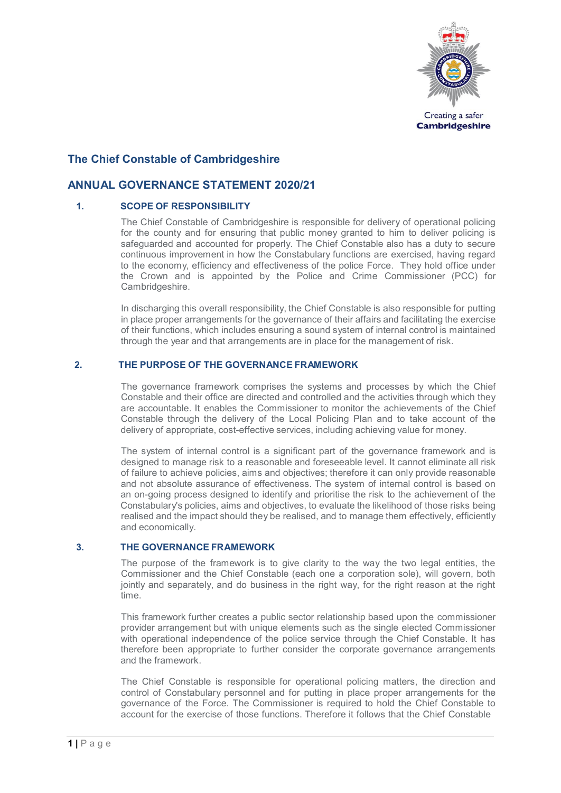

# **The Chief Constable of Cambridgeshire**

# **ANNUAL GOVERNANCE STATEMENT 2020/21**

# **1. SCOPE OF RESPONSIBILITY**

The Chief Constable of Cambridgeshire is responsible for delivery of operational policing for the county and for ensuring that public money granted to him to deliver policing is safeguarded and accounted for properly. The Chief Constable also has a duty to secure continuous improvement in how the Constabulary functions are exercised, having regard to the economy, efficiency and effectiveness of the police Force. They hold office under the Crown and is appointed by the Police and Crime Commissioner (PCC) for Cambridgeshire.

In discharging this overall responsibility, the Chief Constable is also responsible for putting in place proper arrangements for the governance of their affairs and facilitating the exercise of their functions, which includes ensuring a sound system of internal control is maintained through the year and that arrangements are in place for the management of risk.

# **2. THE PURPOSE OF THE GOVERNANCE FRAMEWORK**

The governance framework comprises the systems and processes by which the Chief Constable and their office are directed and controlled and the activities through which they are accountable. It enables the Commissioner to monitor the achievements of the Chief Constable through the delivery of the Local Policing Plan and to take account of the delivery of appropriate, cost-effective services, including achieving value for money.

The system of internal control is a significant part of the governance framework and is designed to manage risk to a reasonable and foreseeable level. It cannot eliminate all risk of failure to achieve policies, aims and objectives; therefore it can only provide reasonable and not absolute assurance of effectiveness. The system of internal control is based on an on-going process designed to identify and prioritise the risk to the achievement of the Constabulary's policies, aims and objectives, to evaluate the likelihood of those risks being realised and the impact should they be realised, and to manage them effectively, efficiently and economically.

# **3. THE GOVERNANCE FRAMEWORK**

The purpose of the framework is to give clarity to the way the two legal entities, the Commissioner and the Chief Constable (each one a corporation sole), will govern, both jointly and separately, and do business in the right way, for the right reason at the right time.

This framework further creates a public sector relationship based upon the commissioner provider arrangement but with unique elements such as the single elected Commissioner with operational independence of the police service through the Chief Constable. It has therefore been appropriate to further consider the corporate governance arrangements and the framework.

The Chief Constable is responsible for operational policing matters, the direction and control of Constabulary personnel and for putting in place proper arrangements for the governance of the Force. The Commissioner is required to hold the Chief Constable to account for the exercise of those functions. Therefore it follows that the Chief Constable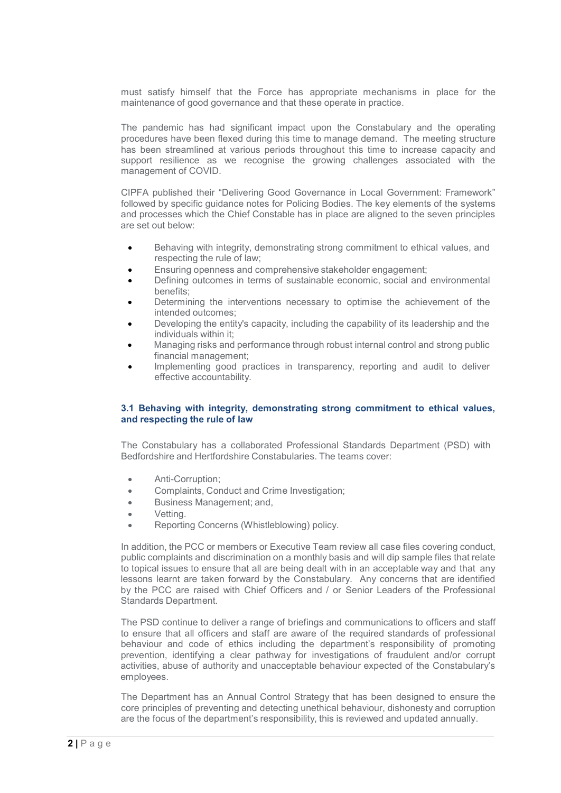must satisfy himself that the Force has appropriate mechanisms in place for the maintenance of good governance and that these operate in practice.

The pandemic has had significant impact upon the Constabulary and the operating procedures have been flexed during this time to manage demand. The meeting structure has been streamlined at various periods throughout this time to increase capacity and support resilience as we recognise the growing challenges associated with the management of COVID.

CIPFA published their "Delivering Good Governance in Local Government: Framework" followed by specific guidance notes for Policing Bodies. The key elements of the systems and processes which the Chief Constable has in place are aligned to the seven principles are set out below:

- Behaving with integrity, demonstrating strong commitment to ethical values, and respecting the rule of law;
- Ensuring openness and comprehensive stakeholder engagement;
- Defining outcomes in terms of sustainable economic, social and environmental benefits;
- Determining the interventions necessary to optimise the achievement of the intended outcomes;
- Developing the entity's capacity, including the capability of its leadership and the individuals within it;
- Managing risks and performance through robust internal control and strong public financial management;
- Implementing good practices in transparency, reporting and audit to deliver effective accountability.

# **3.1 Behaving with integrity, demonstrating strong commitment to ethical values, and respecting the rule of law**

The Constabulary has a collaborated Professional Standards Department (PSD) with Bedfordshire and Hertfordshire Constabularies. The teams cover:

- Anti-Corruption;
- Complaints, Conduct and Crime Investigation;
- Business Management; and,
- Vetting.
- Reporting Concerns (Whistleblowing) policy.

In addition, the PCC or members or Executive Team review all case files covering conduct, public complaints and discrimination on a monthly basis and will dip sample files that relate to topical issues to ensure that all are being dealt with in an acceptable way and that any lessons learnt are taken forward by the Constabulary. Any concerns that are identified by the PCC are raised with Chief Officers and / or Senior Leaders of the Professional Standards Department.

The PSD continue to deliver a range of briefings and communications to officers and staff to ensure that all officers and staff are aware of the required standards of professional behaviour and code of ethics including the department's responsibility of promoting prevention, identifying a clear pathway for investigations of fraudulent and/or corrupt activities, abuse of authority and unacceptable behaviour expected of the Constabulary's employees.

The Department has an Annual Control Strategy that has been designed to ensure the core principles of preventing and detecting unethical behaviour, dishonesty and corruption are the focus of the department's responsibility, this is reviewed and updated annually.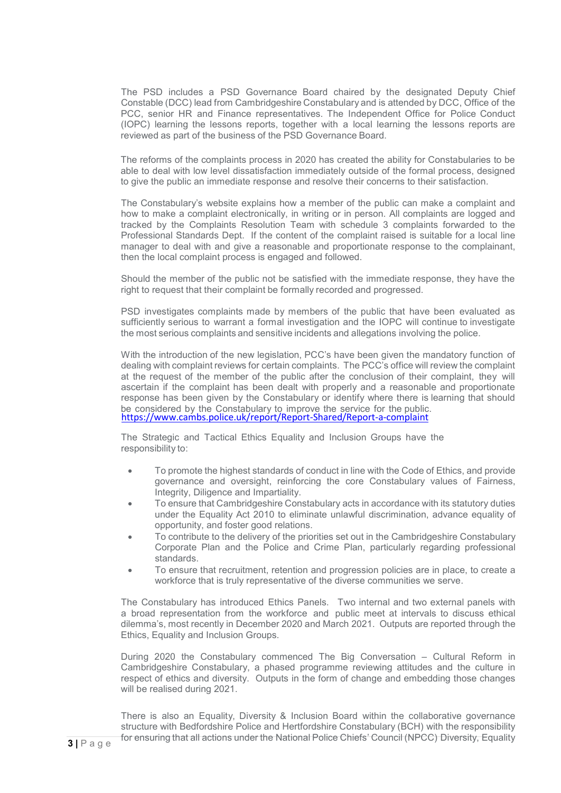The PSD includes a PSD Governance Board chaired by the designated Deputy Chief Constable (DCC) lead from Cambridgeshire Constabulary and is attended by DCC, Office of the PCC, senior HR and Finance representatives. The Independent Office for Police Conduct (IOPC) learning the lessons reports, together with a local learning the lessons reports are reviewed as part of the business of the PSD Governance Board.

The reforms of the complaints process in 2020 has created the ability for Constabularies to be able to deal with low level dissatisfaction immediately outside of the formal process, designed to give the public an immediate response and resolve their concerns to their satisfaction.

The Constabulary's website explains how a member of the public can make a complaint and how to make a complaint electronically, in writing or in person. All complaints are logged and tracked by the Complaints Resolution Team with schedule 3 complaints forwarded to the Professional Standards Dept. If the content of the complaint raised is suitable for a local line manager to deal with and give a reasonable and proportionate response to the complainant, then the local complaint process is engaged and followed.

Should the member of the public not be satisfied with the immediate response, they have the right to request that their complaint be formally recorded and progressed.

PSD investigates complaints made by members of the public that have been evaluated as sufficiently serious to warrant a formal investigation and the IOPC will continue to investigate the most serious complaints and sensitive incidents and allegations involving the police.

With the introduction of the new legislation, PCC's have been given the mandatory function of dealing with complaint reviews for certain complaints. The PCC's office will review the complaint at the request of the member of the public after the conclusion of their complaint, they will ascertain if the complaint has been dealt with properly and a reasonable and proportionate response has been given by the Constabulary or identify where there is learning that should<br>be considered by the Constabulary to improve the service for the public. <https://www.cambs.police.uk/report/Report-Shared/Report-a-complaint>

The Strategic and Tactical Ethics Equality and Inclusion Groups have the responsibility to:

- To promote the highest standards of conduct in line with the Code of Ethics, and provide governance and oversight, reinforcing the core Constabulary values of Fairness, Integrity, Diligence and Impartiality.
- To ensure that Cambridgeshire Constabulary acts in accordance with its statutory duties under the Equality Act 2010 to eliminate unlawful discrimination, advance equality of opportunity, and foster good relations.
- To contribute to the delivery of the priorities set out in the Cambridgeshire Constabulary Corporate Plan and the Police and Crime Plan, particularly regarding professional standards.
- To ensure that recruitment, retention and progression policies are in place, to create a workforce that is truly representative of the diverse communities we serve.

The Constabulary has introduced Ethics Panels. Two internal and two external panels with a broad representation from the workforce and public meet at intervals to discuss ethical dilemma's, most recently in December 2020 and March 2021. Outputs are reported through the Ethics, Equality and Inclusion Groups.

During 2020 the Constabulary commenced The Big Conversation – Cultural Reform in Cambridgeshire Constabulary, a phased programme reviewing attitudes and the culture in respect of ethics and diversity. Outputs in the form of change and embedding those changes will be realised during 2021.

There is also an Equality, Diversity & Inclusion Board within the collaborative governance structure with Bedfordshire Police and Hertfordshire Constabulary (BCH) with the responsibility for ensuring that all actions under the National Police Chiefs' Council (NPCC) Diversity, Equality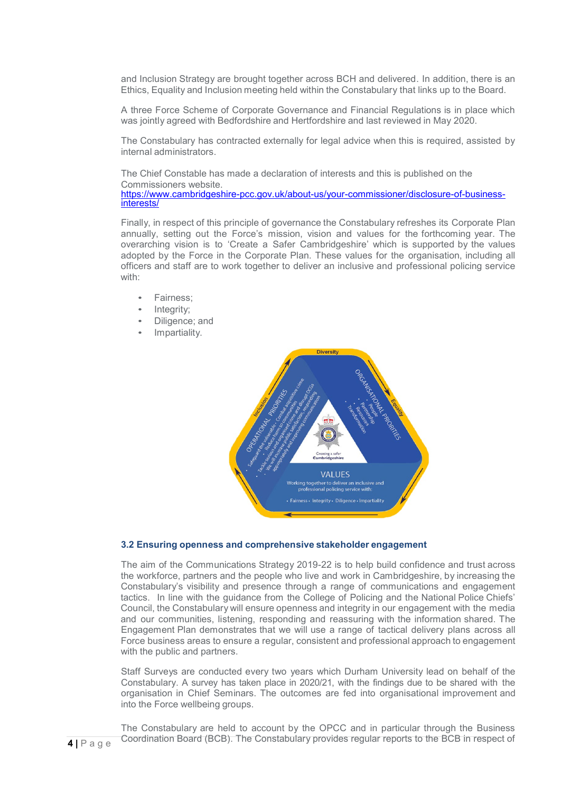and Inclusion Strategy are brought together across BCH and delivered. In addition, there is an Ethics, Equality and Inclusion meeting held within the Constabulary that links up to the Board.

A three Force Scheme of Corporate Governance and Financial Regulations is in place which was jointly agreed with Bedfordshire and Hertfordshire and last reviewed in May 2020.

The Constabulary has contracted externally for legal advice when this is required, assisted by internal administrators.

The Chief Constable has made a declaration of interests and this is published on the Commissioners website. [https://www.cambridgeshire-pcc.gov.uk/about-us/your-commissioner/disclosure-of-business-](https://www.cambridgeshire-pcc.gov.uk/about-us/your-commissioner/disclosure-of-business-interests/) [interests/](https://www.cambridgeshire-pcc.gov.uk/about-us/your-commissioner/disclosure-of-business-interests/)

Finally, in respect of this principle of governance the Constabulary refreshes its Corporate Plan annually, setting out the Force's mission, vision and values for the forthcoming year. The overarching vision is to 'Create a Safer Cambridgeshire' which is supported by the values adopted by the Force in the Corporate Plan. These values for the organisation, including all officers and staff are to work together to deliver an inclusive and professional policing service with:

- Fairness;
- Integrity:
- Diligence; and
- Impartiality.



### **3.2 Ensuring openness and comprehensive stakeholder engagement**

The aim of the Communications Strategy 2019-22 is to help build confidence and trust across the workforce, partners and the people who live and work in Cambridgeshire, by increasing the Constabulary's visibility and presence through a range of communications and engagement tactics. In line with the guidance from the College of Policing and the National Police Chiefs' Council, the Constabulary will ensure openness and integrity in our engagement with the media and our communities, listening, responding and reassuring with the information shared. The Engagement Plan demonstrates that we will use a range of tactical delivery plans across all Force business areas to ensure a regular, consistent and professional approach to engagement with the public and partners.

Staff Surveys are conducted every two years which Durham University lead on behalf of the Constabulary. A survey has taken place in 2020/21, with the findings due to be shared with the organisation in Chief Seminars. The outcomes are fed into organisational improvement and into the Force wellbeing groups.

The Constabulary are held to account by the OPCC and in particular through the Business Coordination Board (BCB). The Constabulary provides regular reports to the BCB in respect of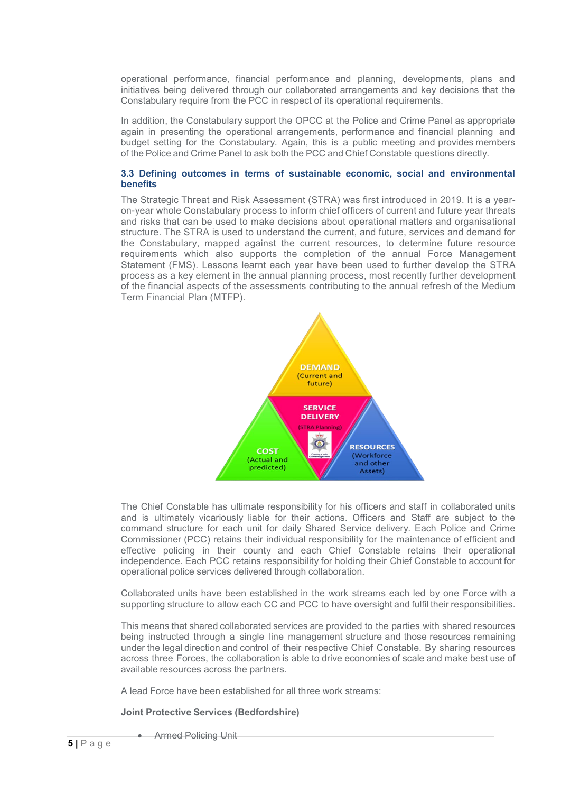operational performance, financial performance and planning, developments, plans and initiatives being delivered through our collaborated arrangements and key decisions that the Constabulary require from the PCC in respect of its operational requirements.

In addition, the Constabulary support the OPCC at the Police and Crime Panel as appropriate again in presenting the operational arrangements, performance and financial planning and budget setting for the Constabulary. Again, this is a public meeting and provides members of the Police and Crime Panel to ask both the PCC and Chief Constable questions directly.

## **3.3 Defining outcomes in terms of sustainable economic, social and environmental benefits**

The Strategic Threat and Risk Assessment (STRA) was first introduced in 2019. It is a yearon-year whole Constabulary process to inform chief officers of current and future year threats and risks that can be used to make decisions about operational matters and organisational structure. The STRA is used to understand the current, and future, services and demand for the Constabulary, mapped against the current resources, to determine future resource requirements which also supports the completion of the annual Force Management Statement (FMS). Lessons learnt each year have been used to further develop the STRA process as a key element in the annual planning process, most recently further development of the financial aspects of the assessments contributing to the annual refresh of the Medium Term Financial Plan (MTFP).



The Chief Constable has ultimate responsibility for his officers and staff in collaborated units and is ultimately vicariously liable for their actions. Officers and Staff are subject to the command structure for each unit for daily Shared Service delivery. Each Police and Crime Commissioner (PCC) retains their individual responsibility for the maintenance of efficient and effective policing in their county and each Chief Constable retains their operational independence. Each PCC retains responsibility for holding their Chief Constable to account for operational police services delivered through collaboration.

Collaborated units have been established in the work streams each led by one Force with a supporting structure to allow each CC and PCC to have oversight and fulfil their responsibilities.

This means that shared collaborated services are provided to the parties with shared resources being instructed through a single line management structure and those resources remaining under the legal direction and control of their respective Chief Constable. By sharing resources across three Forces, the collaboration is able to drive economies of scale and make best use of available resources across the partners.

A lead Force have been established for all three work streams:

**Joint Protective Services (Bedfordshire)**

• Armed Policing Unit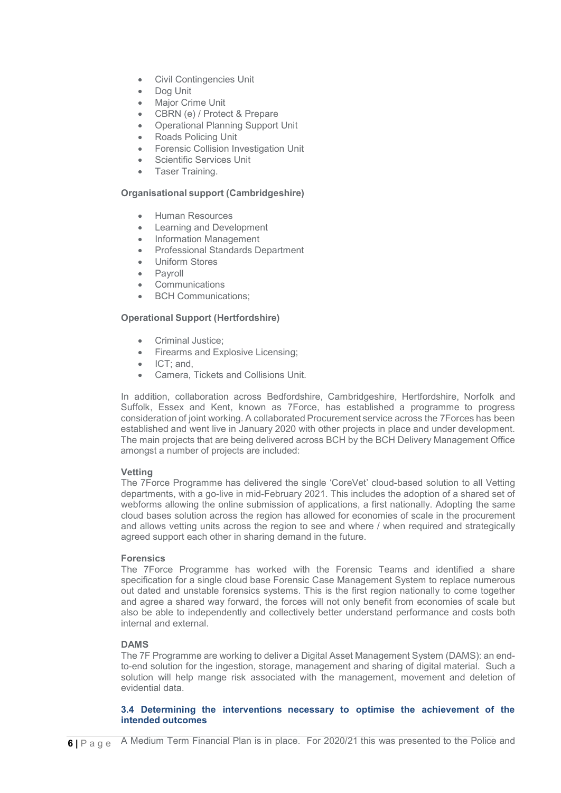- Civil Contingencies Unit
- Dog Unit
- **Major Crime Unit**
- CBRN (e) / Protect & Prepare
- Operational Planning Support Unit
- Roads Policing Unit
- Forensic Collision Investigation Unit
- **Scientific Services Unit**
- Taser Training.

# **Organisational support (Cambridgeshire)**

- Human Resources
- Learning and Development
- Information Management
- Professional Standards Department
- Uniform Stores
- **Payroll**
- **Communications**
- **BCH Communications:**

# **Operational Support (Hertfordshire)**

- Criminal Justice;
- Firearms and Explosive Licensing;
- ICT; and,
- Camera, Tickets and Collisions Unit.

In addition, collaboration across Bedfordshire, Cambridgeshire, Hertfordshire, Norfolk and Suffolk, Essex and Kent, known as 7Force, has established a programme to progress consideration of joint working. A collaborated Procurement service across the 7Forces has been established and went live in January 2020 with other projects in place and under development. The main projects that are being delivered across BCH by the BCH Delivery Management Office amongst a number of projects are included:

# **Vetting**

The 7Force Programme has delivered the single 'CoreVet' cloud-based solution to all Vetting departments, with a go-live in mid-February 2021. This includes the adoption of a shared set of webforms allowing the online submission of applications, a first nationally. Adopting the same cloud bases solution across the region has allowed for economies of scale in the procurement and allows vetting units across the region to see and where / when required and strategically agreed support each other in sharing demand in the future.

# **Forensics**

The 7Force Programme has worked with the Forensic Teams and identified a share specification for a single cloud base Forensic Case Management System to replace numerous out dated and unstable forensics systems. This is the first region nationally to come together and agree a shared way forward, the forces will not only benefit from economies of scale but also be able to independently and collectively better understand performance and costs both internal and external.

# **DAMS**

The 7F Programme are working to deliver a Digital Asset Management System (DAMS): an endto-end solution for the ingestion, storage, management and sharing of digital material. Such a solution will help mange risk associated with the management, movement and deletion of evidential data.

# **3.4 Determining the interventions necessary to optimise the achievement of the intended outcomes**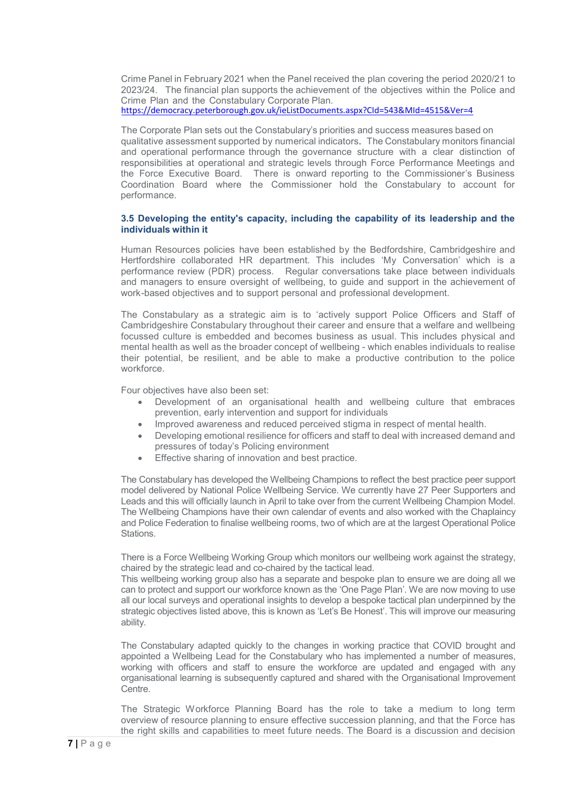Crime Panel in February 2021 when the Panel received the plan covering the period 2020/21 to 2023/24. The financial plan supports the achievement of the objectives within the Police and Crime Plan and the Constabulary Corporate Plan. <https://democracy.peterborough.gov.uk/ieListDocuments.aspx?CId=543&MId=4515&Ver=4>

The Corporate Plan sets out the Constabulary's priorities and success measures based on qualitative assessment supported by numerical indicators. The Constabulary monitors financial and operational performance through the governance structure with a clear distinction of responsibilities at operational and strategic levels through Force Performance Meetings and the Force Executive Board. There is onward reporting to the Commissioner's Business Coordination Board where the Commissioner hold the Constabulary to account for performance.

# **3.5 Developing the entity's capacity, including the capability of its leadership and the individuals within it**

Human Resources policies have been established by the Bedfordshire, Cambridgeshire and Hertfordshire collaborated HR department. This includes 'My Conversation' which is a performance review (PDR) process. Regular conversations take place between individuals and managers to ensure oversight of wellbeing, to guide and support in the achievement of work-based objectives and to support personal and professional development.

The Constabulary as a strategic aim is to 'actively support Police Officers and Staff of Cambridgeshire Constabulary throughout their career and ensure that a welfare and wellbeing focussed culture is embedded and becomes business as usual. This includes physical and mental health as well as the broader concept of wellbeing - which enables individuals to realise their potential, be resilient, and be able to make a productive contribution to the police workforce.

Four objectives have also been set:

- Development of an organisational health and wellbeing culture that embraces prevention, early intervention and support for individuals
- Improved awareness and reduced perceived stigma in respect of mental health.
- Developing emotional resilience for officers and staff to deal with increased demand and pressures of today's Policing environment
- Effective sharing of innovation and best practice.

The Constabulary has developed the Wellbeing Champions to reflect the best practice peer support model delivered by National Police Wellbeing Service. We currently have 27 Peer Supporters and Leads and this will officially launch in April to take over from the current Wellbeing Champion Model. The Wellbeing Champions have their own calendar of events and also worked with the Chaplaincy and Police Federation to finalise wellbeing rooms, two of which are at the largest Operational Police Stations.

There is a Force Wellbeing Working Group which monitors our wellbeing work against the strategy, chaired by the strategic lead and co-chaired by the tactical lead.

This wellbeing working group also has a separate and bespoke plan to ensure we are doing all we can to protect and support our workforce known as the 'One Page Plan'. We are now moving to use all our local surveys and operational insights to develop a bespoke tactical plan underpinned by the strategic objectives listed above, this is known as 'Let's Be Honest'. This will improve our measuring ability.

The Constabulary adapted quickly to the changes in working practice that COVID brought and appointed a Wellbeing Lead for the Constabulary who has implemented a number of measures, working with officers and staff to ensure the workforce are updated and engaged with any organisational learning is subsequently captured and shared with the Organisational Improvement **Centre**.

The Strategic Workforce Planning Board has the role to take a medium to long term overview of resource planning to ensure effective succession planning, and that the Force has the right skills and capabilities to meet future needs. The Board is a discussion and decision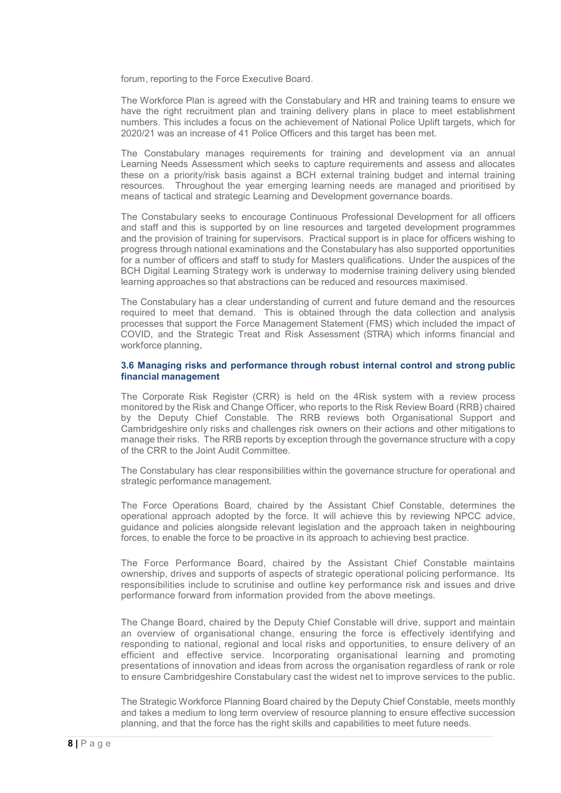forum, reporting to the Force Executive Board.

The Workforce Plan is agreed with the Constabulary and HR and training teams to ensure we have the right recruitment plan and training delivery plans in place to meet establishment numbers. This includes a focus on the achievement of National Police Uplift targets, which for 2020/21 was an increase of 41 Police Officers and this target has been met.

The Constabulary manages requirements for training and development via an annual Learning Needs Assessment which seeks to capture requirements and assess and allocates these on a priority/risk basis against a BCH external training budget and internal training resources. Throughout the year emerging learning needs are managed and prioritised by means of tactical and strategic Learning and Development governance boards.

The Constabulary seeks to encourage Continuous Professional Development for all officers and staff and this is supported by on line resources and targeted development programmes and the provision of training for supervisors. Practical support is in place for officers wishing to progress through national examinations and the Constabulary has also supported opportunities for a number of officers and staff to study for Masters qualifications. Under the auspices of the BCH Digital Learning Strategy work is underway to modernise training delivery using blended learning approaches so that abstractions can be reduced and resources maximised.

The Constabulary has a clear understanding of current and future demand and the resources required to meet that demand. This is obtained through the data collection and analysis processes that support the Force Management Statement (FMS) which included the impact of COVID, and the Strategic Treat and Risk Assessment (STRA) which informs financial and workforce planning.

# **3.6 Managing risks and performance through robust internal control and strong public financial management**

The Corporate Risk Register (CRR) is held on the 4Risk system with a review process monitored by the Risk and Change Officer, who reports to the Risk Review Board (RRB) chaired by the Deputy Chief Constable. The RRB reviews both Organisational Support and Cambridgeshire only risks and challenges risk owners on their actions and other mitigations to manage their risks. The RRB reports by exception through the governance structure with a copy of the CRR to the Joint Audit Committee.

The Constabulary has clear responsibilities within the governance structure for operational and strategic performance management.

The Force Operations Board, chaired by the Assistant Chief Constable, determines the operational approach adopted by the force. It will achieve this by reviewing NPCC advice, guidance and policies alongside relevant legislation and the approach taken in neighbouring forces, to enable the force to be proactive in its approach to achieving best practice.

The Force Performance Board, chaired by the Assistant Chief Constable maintains ownership, drives and supports of aspects of strategic operational policing performance. Its responsibilities include to scrutinise and outline key performance risk and issues and drive performance forward from information provided from the above meetings.

The Change Board, chaired by the Deputy Chief Constable will drive, support and maintain an overview of organisational change, ensuring the force is effectively identifying and responding to national, regional and local risks and opportunities, to ensure delivery of an efficient and effective service. Incorporating organisational learning and promoting presentations of innovation and ideas from across the organisation regardless of rank or role to ensure Cambridgeshire Constabulary cast the widest net to improve services to the public.

The Strategic Workforce Planning Board chaired by the Deputy Chief Constable, meets monthly and takes a medium to long term overview of resource planning to ensure effective succession planning, and that the force has the right skills and capabilities to meet future needs.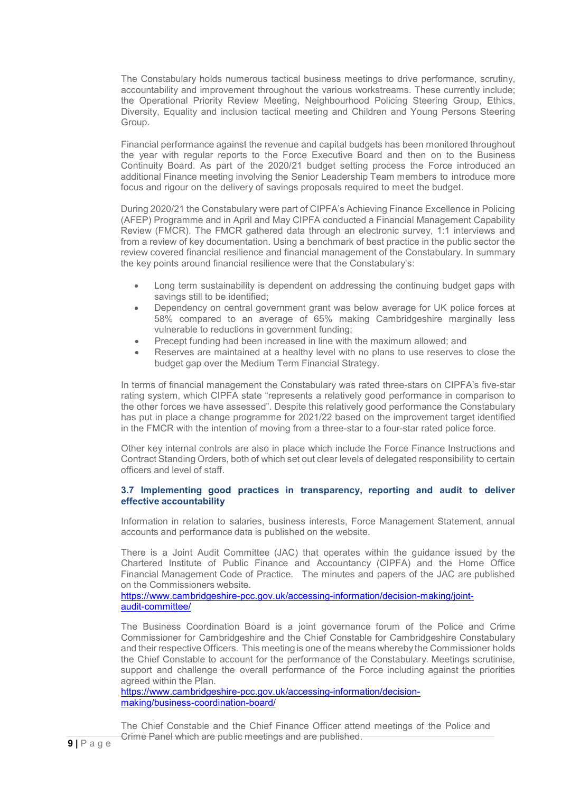The Constabulary holds numerous tactical business meetings to drive performance, scrutiny, accountability and improvement throughout the various workstreams. These currently include; the Operational Priority Review Meeting, Neighbourhood Policing Steering Group, Ethics, Diversity, Equality and inclusion tactical meeting and Children and Young Persons Steering Group.

Financial performance against the revenue and capital budgets has been monitored throughout the year with regular reports to the Force Executive Board and then on to the Business Continuity Board. As part of the 2020/21 budget setting process the Force introduced an additional Finance meeting involving the Senior Leadership Team members to introduce more focus and rigour on the delivery of savings proposals required to meet the budget.

During 2020/21 the Constabulary were part of CIPFA's Achieving Finance Excellence in Policing (AFEP) Programme and in April and May CIPFA conducted a Financial Management Capability Review (FMCR). The FMCR gathered data through an electronic survey, 1:1 interviews and from a review of key documentation. Using a benchmark of best practice in the public sector the review covered financial resilience and financial management of the Constabulary. In summary the key points around financial resilience were that the Constabulary's:

- Long term sustainability is dependent on addressing the continuing budget gaps with savings still to be identified;
- Dependency on central government grant was below average for UK police forces at 58% compared to an average of 65% making Cambridgeshire marginally less vulnerable to reductions in government funding;
- Precept funding had been increased in line with the maximum allowed; and
- Reserves are maintained at a healthy level with no plans to use reserves to close the budget gap over the Medium Term Financial Strategy.

In terms of financial management the Constabulary was rated three-stars on CIPFA's five-star rating system, which CIPFA state "represents a relatively good performance in comparison to the other forces we have assessed". Despite this relatively good performance the Constabulary has put in place a change programme for 2021/22 based on the improvement target identified in the FMCR with the intention of moving from a three-star to a four-star rated police force.

Other key internal controls are also in place which include the Force Finance Instructions and Contract Standing Orders, both of which set out clear levels of delegated responsibility to certain officers and level of staff.

# **3.7 Implementing good practices in transparency, reporting and audit to deliver effective accountability**

Information in relation to salaries, business interests, Force Management Statement, annual accounts and performance data is published on the website.

There is a Joint Audit Committee (JAC) that operates within the guidance issued by the Chartered Institute of Public Finance and Accountancy (CIPFA) and the Home Office Financial Management Code of Practice. The minutes and papers of the JAC are published on the Commissioners website.

[https://www.cambridgeshire-pcc.gov.uk/accessing-information/decision-making/joint](https://www.cambridgeshire-pcc.gov.uk/accessing-information/decision-making/joint-audit-committee/)[audit-committee/](https://www.cambridgeshire-pcc.gov.uk/accessing-information/decision-making/joint-audit-committee/)

The Business Coordination Board is a joint governance forum of the Police and Crime Commissioner for Cambridgeshire and the Chief Constable for Cambridgeshire Constabulary and their respective Officers. This meeting is one of the means whereby the Commissioner holds the Chief Constable to account for the performance of the Constabulary. Meetings scrutinise, support and challenge the overall performance of the Force including against the priorities agreed within the Plan.

[https://www.cambridgeshire-pcc.gov.uk/accessing-information/decision](https://www.cambridgeshire-pcc.gov.uk/accessing-information/decision-making/business-coordination-board/)[making/business-coordination-board/](https://www.cambridgeshire-pcc.gov.uk/accessing-information/decision-making/business-coordination-board/)

The Chief Constable and the Chief Finance Officer attend meetings of the Police and Crime Panel which are public meetings and are published.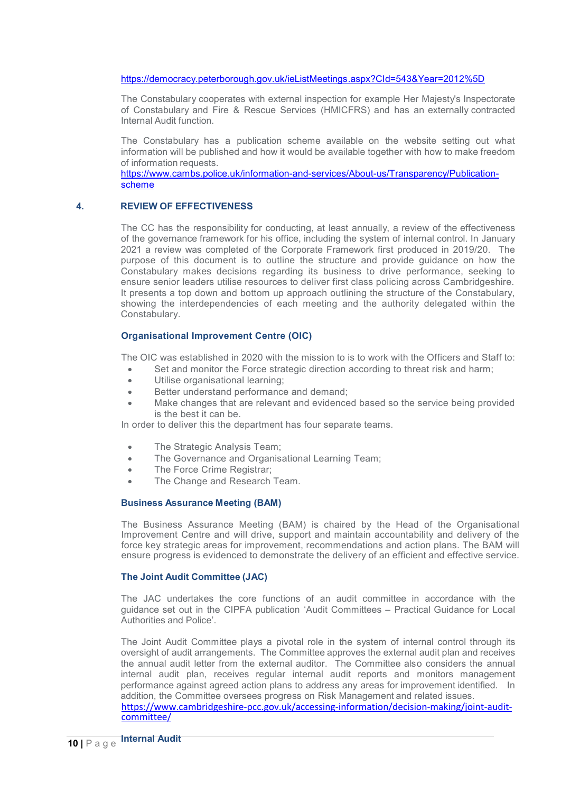## <https://democracy.peterborough.gov.uk/ieListMeetings.aspx?CId=543&Year=2012%5D>

The Constabulary cooperates with external inspection for example Her Majesty's Inspectorate of Constabulary and Fire & Rescue Services (HMICFRS) and has an externally contracted Internal Audit function.

The Constabulary has a publication scheme available on the website setting out what information will be published and how it would be available together with how to make freedom of information requests.

[https://www.cambs.police.uk/information-and-services/About-us/Transparency/Publication](https://www.cambs.police.uk/information-and-services/About-us/Transparency/Publication-scheme)[scheme](https://www.cambs.police.uk/information-and-services/About-us/Transparency/Publication-scheme)

#### **4. REVIEW OF EFFECTIVENESS**

The CC has the responsibility for conducting, at least annually, a review of the effectiveness of the governance framework for his office, including the system of internal control. In January 2021 a review was completed of the Corporate Framework first produced in 2019/20. The purpose of this document is to outline the structure and provide guidance on how the Constabulary makes decisions regarding its business to drive performance, seeking to ensure senior leaders utilise resources to deliver first class policing across Cambridgeshire. It presents a top down and bottom up approach outlining the structure of the Constabulary, showing the interdependencies of each meeting and the authority delegated within the Constabulary.

## **Organisational Improvement Centre (OIC)**

The OIC was established in 2020 with the mission to is to work with the Officers and Staff to:

- Set and monitor the Force strategic direction according to threat risk and harm;
- Utilise organisational learning;
- Better understand performance and demand;
- Make changes that are relevant and evidenced based so the service being provided is the best it can be.

In order to deliver this the department has four separate teams.

- The Strategic Analysis Team;
- The Governance and Organisational Learning Team;
- The Force Crime Registrar;
- The Change and Research Team.

## **Business Assurance Meeting (BAM)**

The Business Assurance Meeting (BAM) is chaired by the Head of the Organisational Improvement Centre and will drive, support and maintain accountability and delivery of the force key strategic areas for improvement, recommendations and action plans. The BAM will ensure progress is evidenced to demonstrate the delivery of an efficient and effective service.

## **The Joint Audit Committee (JAC)**

The JAC undertakes the core functions of an audit committee in accordance with the guidance set out in the CIPFA publication 'Audit Committees – Practical Guidance for Local Authorities and Police'.

The Joint Audit Committee plays a pivotal role in the system of internal control through its oversight of audit arrangements. The Committee approves the external audit plan and receives the annual audit letter from the external auditor. The Committee also considers the annual internal audit plan, receives regular internal audit reports and monitors management performance against agreed action plans to address any areas for improvement identified. In addition, the Committee oversees progress on Risk Management and related issues. [https://www.cambridgeshire-pcc.gov.uk/accessing-information/decision-making/joint-audit](https://www.cambridgeshire-pcc.gov.uk/accessing-information/decision-making/joint-audit-committee/)[committee/](https://www.cambridgeshire-pcc.gov.uk/accessing-information/decision-making/joint-audit-committee/)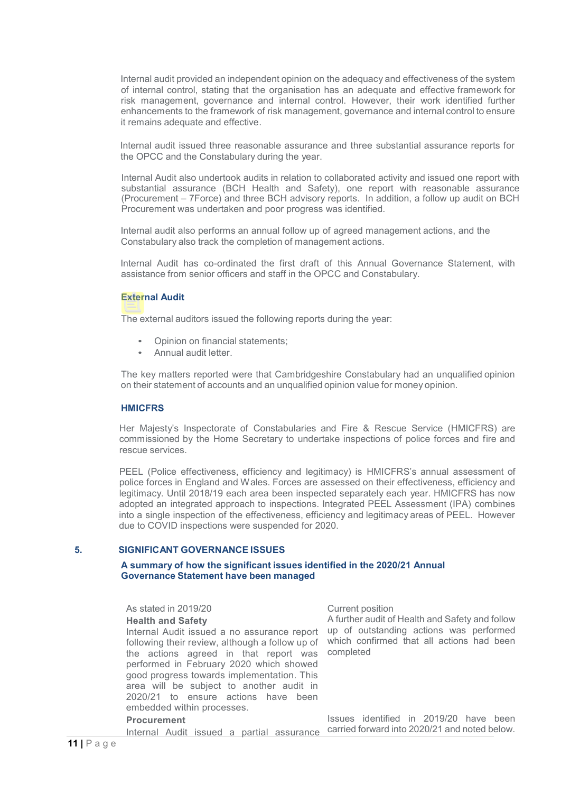Internal audit provided an independent opinion on the adequacy and effectiveness of the system of internal control, stating that the organisation has an adequate and effective framework for risk management, governance and internal control. However, their work identified further enhancements to the framework of risk management, governance and internal control to ensure it remains adequate and effective.

Internal audit issued three reasonable assurance and three substantial assurance reports for the OPCC and the Constabulary during the year.

Internal Audit also undertook audits in relation to collaborated activity and issued one report with substantial assurance (BCH Health and Safety), one report with reasonable assurance (Procurement – 7Force) and three BCH advisory reports. In addition, a follow up audit on BCH Procurement was undertaken and poor progress was identified.

Internal audit also performs an annual follow up of agreed management actions, and the Constabulary also track the completion of management actions.

Internal Audit has co-ordinated the first draft of this Annual Governance Statement, with assistance from senior officers and staff in the OPCC and Constabulary.

#### **External Audit**

The external auditors issued the following reports during the year:

- Opinion on financial statements;
- Annual audit letter.

The key matters reported were that Cambridgeshire Constabulary had an unqualified opinion on their statement of accounts and an unqualified opinion value for money opinion.

### **HMICFRS**

Her Majesty's Inspectorate of Constabularies and Fire & Rescue Service (HMICFRS) are commissioned by the Home Secretary to undertake inspections of police forces and fire and rescue services.

PEEL (Police effectiveness, efficiency and legitimacy) is HMICFRS's annual assessment of police forces in England and Wales. Forces are assessed on their effectiveness, efficiency and legitimacy. Until 2018/19 each area been inspected separately each year. HMICFRS has now adopted an integrated approach to inspections. Integrated PEEL Assessment (IPA) combines into a single inspection of the effectiveness, efficiency and legitimacy areas of PEEL. However due to COVID inspections were suspended for 2020.

#### **5. SIGNIFICANT GOVERNANCE ISSUES**

# **A summary of how the significant issues identified in the 2020/21 Annual Governance Statement have been managed**

As stated in 2019/20 Current position **Health and Safety** Internal Audit issued a no assurance report up of outstanding actions was performed following their review, although a follow up of the actions agreed in that report was performed in February 2020 which showed good progress towards implementation. This area will be subject to another audit in 2020/21 to ensure actions have been embedded within processes.

#### **Procurement**

Internal Audit issued a partial assurance

A further audit of Health and Safety and follow which confirmed that all actions had been completed

Issues identified in 2019/20 have been carried forward into 2020/21 and noted below.